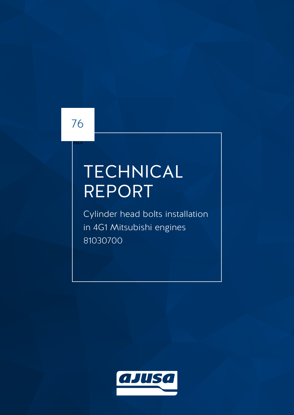## 76

Mcs

# **TECHNICAL** REPORT

Cylinder head bolts installation in 4G1 Mitsubishi engines 81030700

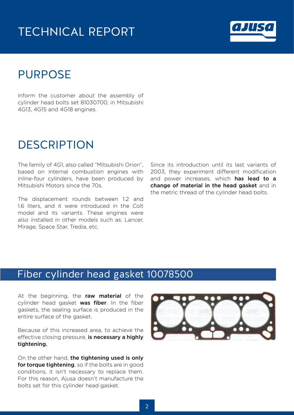## TECHNICAL REPORT



## PURPOSE

Inform the customer about the assembly of cylinder head bolts set 81030700, in Mitsubishi 4G13, 4G15 and 4G18 engines.

### **DESCRIPTION**

The family of 4G1, also called "Mitsubishi Orion", based on internal combustion engines with inline-four cylinders, have been produced by Mitsubishi Motors since the 70s.

The displacement rounds between 1.2 and 1.6 liters, and it were introduced in the Colt model and its variants. These engines were also installed in other models such as: Lancer, Mirage, Space Star, Tredia, etc.

Since its introduction until its last variants of 2003, they experiment different modification and power increases, which has lead to a change of material in the head gasket and in the metric thread of the cylinder head bolts.

#### Fiber cylinder head gasket 10078500

At the beginning, the raw material of the cylinder head gasket was fiber. In the fiber gaskets, the sealing surface is produced in the entire surface of the gasket.

Because of this increased area, to achieve the effective closing pressure, is necessary a highly tightening.

On the other hand, the tightening used is only for torque tightening, so if the bolts are in good conditions, it isn't necessary to replace them. For this reason, Ajusa doesn't manufacture the bolts set for this cylinder head gasket.

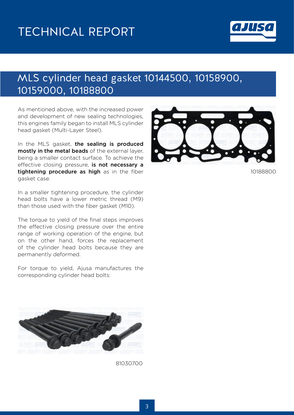

#### MLS cylinder head gasket 10144500, 10158900, 10159000, 10188800

As mentioned above, with the increased power and development of new sealing technologies, this engines family began to install MLS cylinder head gasket (Multi-Layer Steel).

In the MLS gasket, the sealing is produced mostly in the metal beads of the external layer, being a smaller contact surface. To achieve the effective closing pressure, is not necessary a tightening procedure as high as in the fiber gasket case.

In a smaller tightening procedure, the cylinder head bolts have a lower metric thread (M9) than those used with the fiber gasket (M10).

The torque to yield of the final steps improves the effective closing pressure over the entire range of working operation of the engine, but on the other hand, forces the replacement of the cylinder head bolts because they are permanently deformed.

For torque to yield, Ajusa manufactures the corresponding cylinder head bolts:



81030700



10188800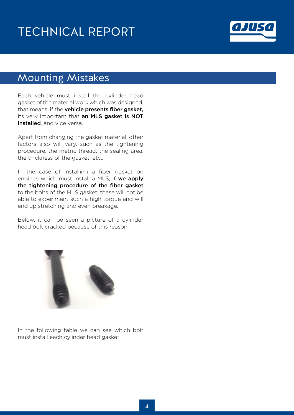## TECHNICAL REPORT



#### Mounting Mistakes

Each vehicle must install the cylinder head gasket of the material work which was designed, that means, if the **vehicle presents fiber gasket**, its very important that an MLS gasket is NOT installed, and vice versa.

Apart from changing the gasket material, other factors also will vary, such as the tightening procedure, the metric thread, the sealing area, the thickness of the gasket, etc...

In the case of installing a fiber gasket on engines which must install a MLS, if we apply the tightening procedure of the fiber gasket to the bolts of the MLS gasket, these will not be able to experiment such a high torque and will end up stretching and even breakage.

Below, it can be seen a picture of a cylinder head bolt cracked because of this reason.



In the following table we can see which bolt must install each cylinder head gasket.